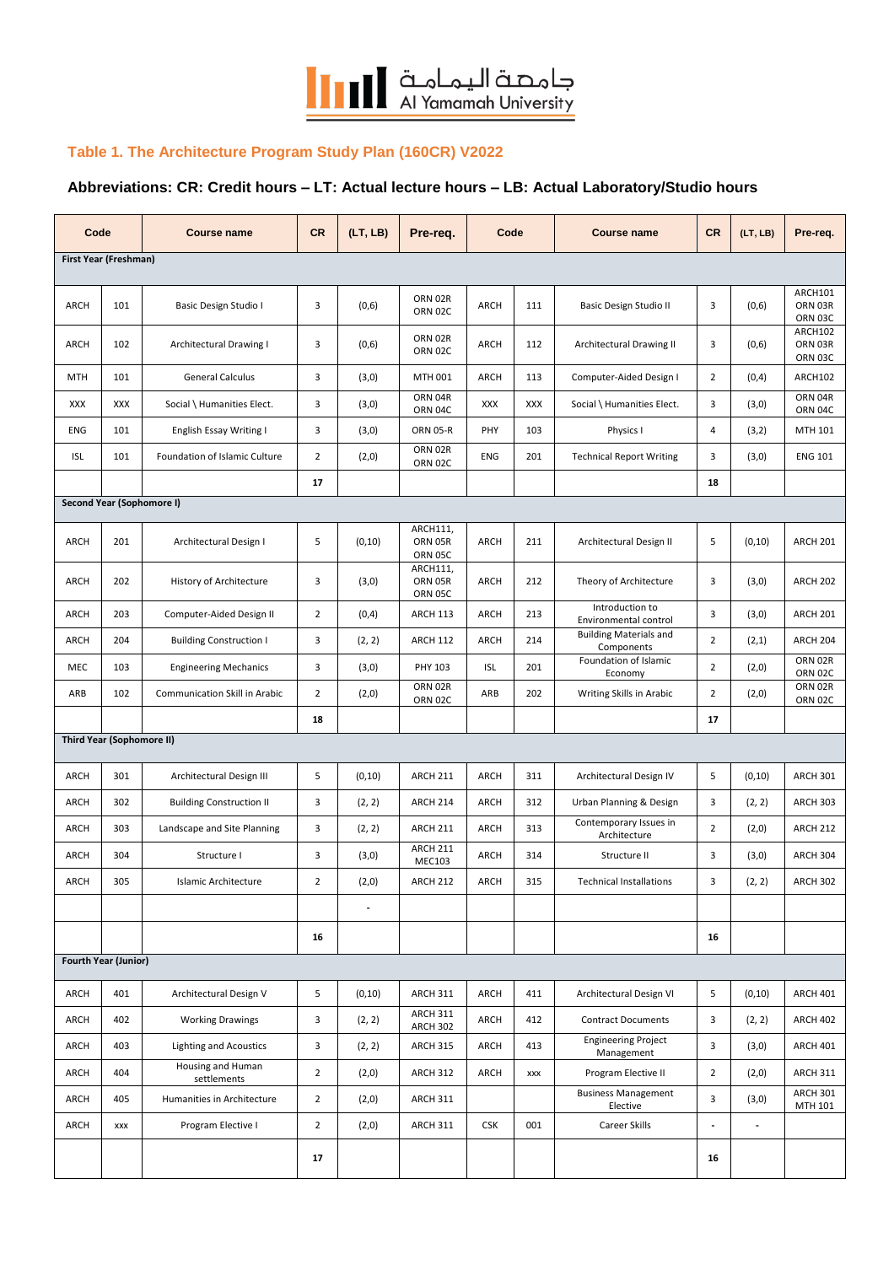

## **Table 1. The Architecture Program Study Plan (160CR) V2022**

## **Abbreviations: CR: Credit hours – LT: Actual lecture hours – LB: Actual Laboratory/Studio hours**

| Code                  |                                  | <b>Course name</b>               | <b>CR</b>      | (LT, LB)       | Pre-req.                           | Code       |     | <b>Course name</b>                          | <b>CR</b>      | (LT, LB) | Pre-req.                      |
|-----------------------|----------------------------------|----------------------------------|----------------|----------------|------------------------------------|------------|-----|---------------------------------------------|----------------|----------|-------------------------------|
| First Year (Freshman) |                                  |                                  |                |                |                                    |            |     |                                             |                |          |                               |
| <b>ARCH</b>           | 101                              | Basic Design Studio I            | 3              | (0,6)          | ORN 02R<br>ORN 02C                 | ARCH       | 111 | Basic Design Studio II                      | 3              | (0,6)    | ARCH101<br>ORN 03R<br>ORN 03C |
| <b>ARCH</b>           | 102                              | Architectural Drawing I          | 3              | (0,6)          | ORN 02R<br>ORN 02C                 | ARCH       | 112 | Architectural Drawing II                    | 3              | (0,6)    | ARCH102<br>ORN 03R<br>ORN 03C |
| <b>MTH</b>            | 101                              | <b>General Calculus</b>          | 3              | (3,0)          | MTH 001                            | ARCH       | 113 | Computer-Aided Design I                     | $\overline{2}$ | (0,4)    | ARCH102                       |
| <b>XXX</b>            | XXX                              | Social \ Humanities Elect.       | 3              | (3,0)          | ORN 04R<br>ORN 04C                 | <b>XXX</b> | XXX | Social \ Humanities Elect.                  | 3              | (3,0)    | ORN 04R<br>ORN 04C            |
| ENG                   | 101                              | English Essay Writing I          | 3              | (3,0)          | <b>ORN 05-R</b>                    | PHY        | 103 | Physics I                                   | 4              | (3,2)    | MTH 101                       |
| <b>ISL</b>            | 101                              | Foundation of Islamic Culture    | $\overline{2}$ | (2,0)          | ORN 02R<br>ORN 02C                 | ENG        | 201 | <b>Technical Report Writing</b>             | 3              | (3,0)    | <b>ENG 101</b>                |
|                       |                                  |                                  | 17             |                |                                    |            |     |                                             | 18             |          |                               |
|                       | <b>Second Year (Sophomore I)</b> |                                  |                |                |                                    |            |     |                                             |                |          |                               |
| <b>ARCH</b>           | 201                              | Architectural Design I           | 5              | (0, 10)        | ARCH111,<br>ORN 05R<br>ORN 05C     | ARCH       | 211 | Architectural Design II                     | 5              | (0, 10)  | <b>ARCH 201</b>               |
| <b>ARCH</b>           | 202                              | History of Architecture          | 3              | (3,0)          | ARCH111,<br>ORN 05R<br>ORN 05C     | ARCH       | 212 | Theory of Architecture                      | 3              | (3,0)    | <b>ARCH 202</b>               |
| <b>ARCH</b>           | 203                              | Computer-Aided Design II         | $\overline{2}$ | (0,4)          | <b>ARCH 113</b>                    | ARCH       | 213 | Introduction to<br>Environmental control    | 3              | (3,0)    | <b>ARCH 201</b>               |
| <b>ARCH</b>           | 204                              | <b>Building Construction I</b>   | 3              | (2, 2)         | <b>ARCH 112</b>                    | ARCH       | 214 | <b>Building Materials and</b><br>Components | $\overline{2}$ | (2,1)    | ARCH 204                      |
| MEC                   | 103                              | <b>Engineering Mechanics</b>     | 3              | (3,0)          | PHY 103                            | <b>ISL</b> | 201 | Foundation of Islamic<br>Economy            | $\overline{2}$ | (2, 0)   | ORN 02R<br><b>ORN 02C</b>     |
| ARB                   | 102                              | Communication Skill in Arabic    | $\overline{2}$ | (2,0)          | ORN 02R<br>ORN 02C                 | ARB        | 202 | Writing Skills in Arabic                    | $\overline{2}$ | (2,0)    | ORN 02R<br><b>ORN 02C</b>     |
|                       |                                  |                                  | 18             |                |                                    |            |     |                                             | 17             |          |                               |
|                       | <b>Third Year (Sophomore II)</b> |                                  |                |                |                                    |            |     |                                             |                |          |                               |
| <b>ARCH</b>           | 301                              | Architectural Design III         | 5              | (0, 10)        | <b>ARCH 211</b>                    | ARCH       | 311 | Architectural Design IV                     | 5              | (0, 10)  | <b>ARCH 301</b>               |
| <b>ARCH</b>           | 302                              | <b>Building Construction II</b>  | 3              | (2, 2)         | <b>ARCH 214</b>                    | ARCH       | 312 | Urban Planning & Design                     | 3              | (2, 2)   | <b>ARCH 303</b>               |
| <b>ARCH</b>           | 303                              | Landscape and Site Planning      | 3              | (2, 2)         | <b>ARCH 211</b>                    | ARCH       | 313 | Contemporary Issues in<br>Architecture      | $\overline{2}$ | (2,0)    | <b>ARCH 212</b>               |
| <b>ARCH</b>           | 304                              | Structure I                      | 3              | (3,0)          | <b>ARCH 211</b><br><b>MEC103</b>   | ARCH       | 314 | Structure II                                | 3              | (3,0)    | <b>ARCH 304</b>               |
| ARCH                  | 305                              | Islamic Architecture             | $\overline{2}$ | (2, 0)         | <b>ARCH 212</b>                    | ARCH       | 315 | <b>Technical Installations</b>              | 3              | (2, 2)   | ARCH 302                      |
|                       |                                  |                                  |                | $\blacksquare$ |                                    |            |     |                                             |                |          |                               |
|                       |                                  |                                  | 16             |                |                                    |            |     |                                             | 16             |          |                               |
|                       | <b>Fourth Year (Junior)</b>      |                                  |                |                |                                    |            |     |                                             |                |          |                               |
| ARCH                  | 401                              | Architectural Design V           | 5              | (0, 10)        | <b>ARCH 311</b>                    | ARCH       | 411 | Architectural Design VI                     | 5              | (0, 10)  | ARCH 401                      |
| ARCH                  | 402                              | <b>Working Drawings</b>          | 3              | (2, 2)         | <b>ARCH 311</b><br><b>ARCH 302</b> | ARCH       | 412 | <b>Contract Documents</b>                   | 3              | (2, 2)   | <b>ARCH 402</b>               |
| ARCH                  | 403                              | <b>Lighting and Acoustics</b>    | 3              | (2, 2)         | <b>ARCH 315</b>                    | ARCH       | 413 | <b>Engineering Project</b><br>Management    | 3              | (3,0)    | ARCH 401                      |
| ARCH                  | 404                              | Housing and Human<br>settlements | $\overline{2}$ | (2,0)          | <b>ARCH 312</b>                    | ARCH       | XXX | Program Elective II                         | $\overline{2}$ | (2, 0)   | <b>ARCH 311</b>               |
| ARCH                  | 405                              | Humanities in Architecture       | $\overline{2}$ | (2,0)          | <b>ARCH 311</b>                    |            |     | <b>Business Management</b><br>Elective      | 3              | (3,0)    | ARCH 301<br>MTH 101           |
| ARCH                  | XXX                              | Program Elective I               | $\overline{2}$ | (2,0)          | <b>ARCH 311</b>                    | <b>CSK</b> | 001 | Career Skills                               | $\overline{a}$ | ÷,       |                               |
|                       |                                  |                                  | 17             |                |                                    |            |     |                                             | 16             |          |                               |